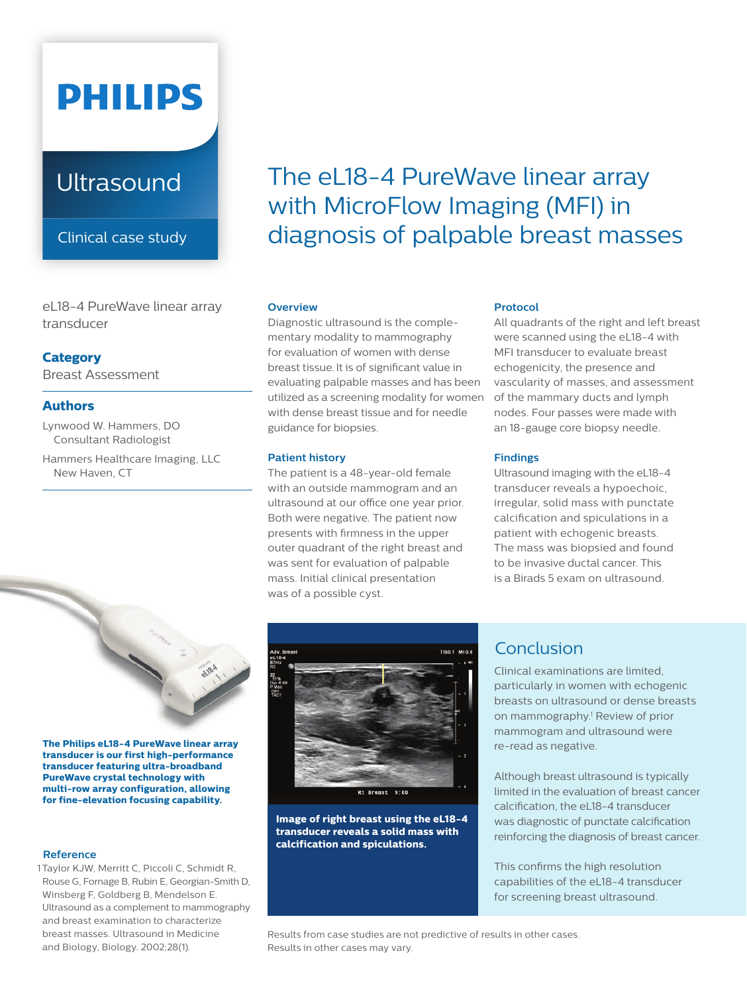# **PHILIPS**

## **Ultrasound**

Clinical case study

eL18-4 PureWave linear array transducer

## **Category**

Breast Assessment

## **Authors**

Lynwood W. Hammers, DO Consultant Radiologist

Hammers Healthcare Imaging, LLC New Haven, CT



## **Overview**

Diagnostic ultrasound is the complementary modality to mammography for evaluation of women with dense breast tissue.It is of significant value in evaluating palpable masses and has been utilized as a screening modality for women with dense breast tissue and for needle guidance for biopsies.

## **Patient history**

The patient is a 48-year-old female with an outside mammogram and an ultrasound at our office one year prior. Both were negative. The patient now presents with firmness in the upper outer quadrant of the right breast and was sent for evaluation of palpable mass. Initial clinical presentation was of a possible cyst.

## **Protocol**

All quadrants of the right and left breast were scanned using the eL18-4 with MFI transducer to evaluate breast echogenicity, the presence and vascularity of masses, and assessment of the mammary ducts and lymph nodes. Four passes were made with an 18-gauge core biopsy needle.

## **Findings**

**Findings**<br>Ultrasound imaging with the eL18-4 transducer reveals a hypoechoic, irregular, solid mass with punctate calcification and spiculations in a patient with echogenic breasts. The mass was biopsied and found to be invasive ductal cancer. This is a Birads 5 exam on ultrasound.



**The Philips eL18-4 PureWave linear array transducer is our first high-performance transducer featuring ultra-broadband PureWave crystal technology with multi-row array configuration, allowing for fine-elevation focusing capability.**

#### **Reference**

1 Taylor KJW, Merritt C, Piccoli C, Schmidt R, Rouse G, Fornage B, Rubin E, Georgian-Smith D, Winsberg F, Goldberg B, Mendelson E. Ultrasound as a complement to mammography and breast examination to characterize breast masses. Ultrasound in Medicine and Biology, Biology. 2002;28(1).



**Image of right breast using the eL18-4 transducer reveals a solid mass with calcification and spiculations.** 

## Conclusion

Clinical examinations are limited, particularly in women with echogenic breasts on ultrasound or dense breasts on mammography.<sup>1</sup> Review of prior mammogram and ultrasound were re-read as negative.

Although breast ultrasound is typically limited in the evaluation of breast cancer calcification, the eL18-4 transducer was diagnostic of punctate calcification reinforcing the diagnosis of breast cancer.

This confirms the high resolution capabilities of the eL18-4 transducer for screening breast ultrasound.

Results from case studies are not predictive of results in other cases. Results in other cases may vary.